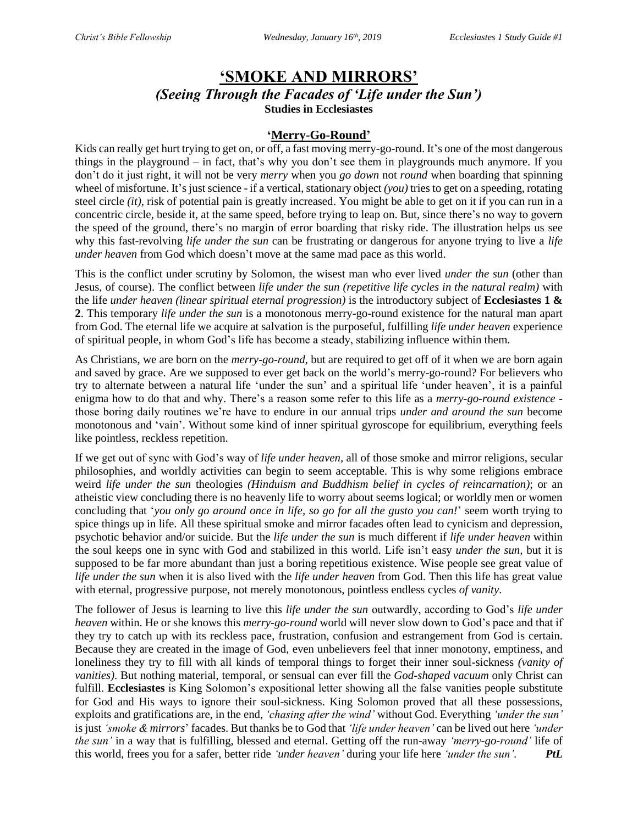# **'SMOKE AND MIRRORS'**

*(Seeing Through the Facades of 'Life under the Sun')* **Studies in Ecclesiastes**

### **'Merry-Go-Round'**

Kids can really get hurt trying to get on, or off, a fast moving merry-go-round. It's one of the most dangerous things in the playground – in fact, that's why you don't see them in playgrounds much anymore. If you don't do it just right, it will not be very *merry* when you *go down* not *round* when boarding that spinning wheel of misfortune. It's just science - if a vertical, stationary object *(you)* tries to get on a speeding, rotating steel circle *(it)*, risk of potential pain is greatly increased. You might be able to get on it if you can run in a concentric circle, beside it, at the same speed, before trying to leap on. But, since there's no way to govern the speed of the ground, there's no margin of error boarding that risky ride. The illustration helps us see why this fast-revolving *life under the sun* can be frustrating or dangerous for anyone trying to live a *life under heaven* from God which doesn't move at the same mad pace as this world.

This is the conflict under scrutiny by Solomon, the wisest man who ever lived *under the sun* (other than Jesus, of course). The conflict between *life under the sun (repetitive life cycles in the natural realm)* with the life *under heaven (linear spiritual eternal progression)* is the introductory subject of **Ecclesiastes 1 & 2**. This temporary *life under the sun* is a monotonous merry-go-round existence for the natural man apart from God. The eternal life we acquire at salvation is the purposeful, fulfilling *life under heaven* experience of spiritual people, in whom God's life has become a steady, stabilizing influence within them.

As Christians, we are born on the *merry-go-round*, but are required to get off of it when we are born again and saved by grace. Are we supposed to ever get back on the world's merry-go-round? For believers who try to alternate between a natural life 'under the sun' and a spiritual life 'under heaven', it is a painful enigma how to do that and why. There's a reason some refer to this life as a *merry-go-round existence* those boring daily routines we're have to endure in our annual trips *under and around the sun* become monotonous and 'vain'. Without some kind of inner spiritual gyroscope for equilibrium, everything feels like pointless, reckless repetition.

If we get out of sync with God's way of *life under heaven,* all of those smoke and mirror religions, secular philosophies, and worldly activities can begin to seem acceptable. This is why some religions embrace weird *life under the sun* theologies *(Hinduism and Buddhism belief in cycles of reincarnation)*; or an atheistic view concluding there is no heavenly life to worry about seems logical; or worldly men or women concluding that '*you only go around once in life, so go for all the gusto you can!*' seem worth trying to spice things up in life. All these spiritual smoke and mirror facades often lead to cynicism and depression, psychotic behavior and/or suicide. But the *life under the sun* is much different if *life under heaven* within the soul keeps one in sync with God and stabilized in this world. Life isn't easy *under the sun,* but it is supposed to be far more abundant than just a boring repetitious existence. Wise people see great value of *life under the sun* when it is also lived with the *life under heaven* from God. Then this life has great value with eternal, progressive purpose, not merely monotonous, pointless endless cycles *of vanity*.

The follower of Jesus is learning to live this *life under the sun* outwardly, according to God's *life under heaven* within. He or she knows this *merry-go-round* world will never slow down to God's pace and that if they try to catch up with its reckless pace, frustration, confusion and estrangement from God is certain. Because they are created in the image of God, even unbelievers feel that inner monotony, emptiness, and loneliness they try to fill with all kinds of temporal things to forget their inner soul-sickness *(vanity of vanities)*. But nothing material, temporal, or sensual can ever fill the *God-shaped vacuum* only Christ can fulfill. **Ecclesiastes** is King Solomon's expositional letter showing all the false vanities people substitute for God and His ways to ignore their soul-sickness. King Solomon proved that all these possessions, exploits and gratifications are, in the end, *'chasing after the wind'* without God. Everything *'under the sun'* is just *'smoke & mirrors*' facades. But thanks be to God that *'life under heaven'* can be lived out here *'under the sun'* in a way that is fulfilling, blessed and eternal. Getting off the run-away *'merry-go-round'* life of this world, frees you for a safer, better ride *'under heaven'* during your life here *'under the sun'. PtL*